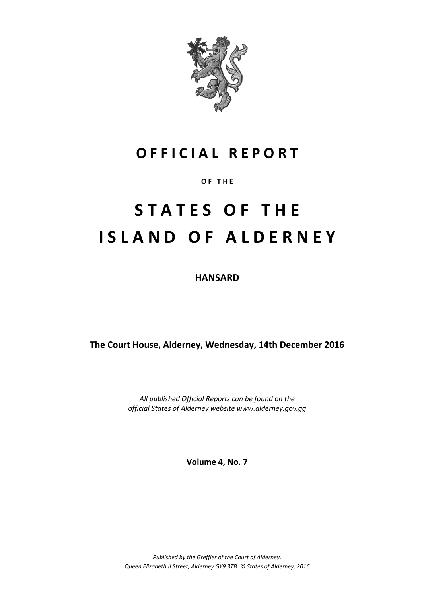

### **O F F I C I A L R E P O R T**

#### **O F T H E**

# **S T A T E S O F T H E I S L A N D O F A L D E R N E Y**

**HANSARD**

**The Court House, Alderney, Wednesday, 14th December 2016**

*All published Official Reports can be found on the official States of Alderney website www.alderney.gov.gg*

**Volume 4, No. 7**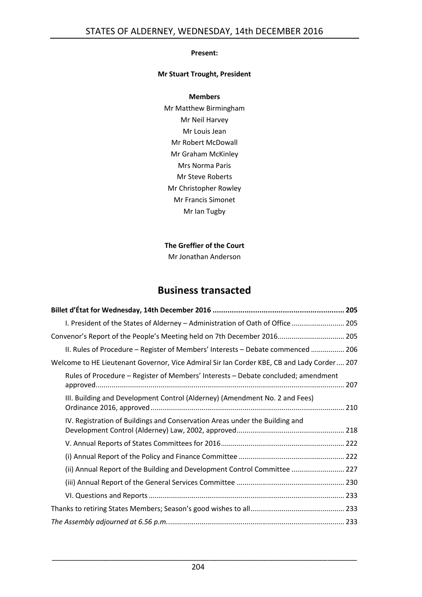#### **Present:**

#### **Mr Stuart Trought, President**

#### **Members**

Mr Matthew Birmingham Mr Neil Harvey Mr Louis Jean Mr Robert McDowall Mr Graham McKinley Mrs Norma Paris Mr Steve Roberts Mr Christopher Rowley Mr Francis Simonet Mr Ian Tugby

#### **The Greffier of the Court**

Mr Jonathan Anderson

#### **Business transacted**

| I. President of the States of Alderney - Administration of Oath of Office  205             |
|--------------------------------------------------------------------------------------------|
| Convenor's Report of the People's Meeting held on 7th December 2016 205                    |
| II. Rules of Procedure - Register of Members' Interests - Debate commenced  206            |
| Welcome to HE Lieutenant Governor, Vice Admiral Sir Ian Corder KBE, CB and Lady Corder 207 |
| Rules of Procedure - Register of Members' Interests - Debate concluded; amendment          |
| III. Building and Development Control (Alderney) (Amendment No. 2 and Fees)                |
| IV. Registration of Buildings and Conservation Areas under the Building and                |
|                                                                                            |
|                                                                                            |
| (ii) Annual Report of the Building and Development Control Committee  227                  |
|                                                                                            |
|                                                                                            |
|                                                                                            |
|                                                                                            |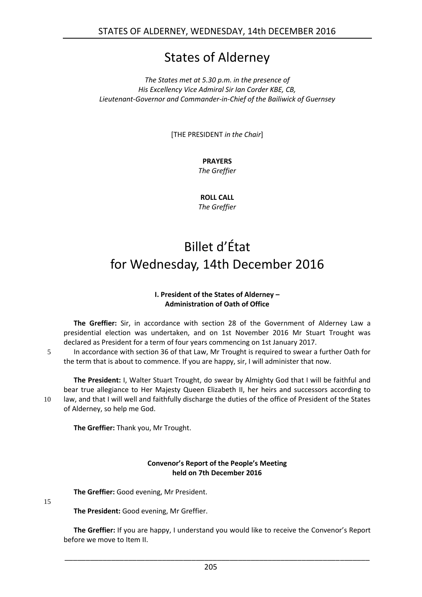### States of Alderney

*The States met at 5.30 p.m. in the presence of His Excellency Vice Admiral Sir Ian Corder KBE, CB, Lieutenant-Governor and Commander-in-Chief of the Bailiwick of Guernsey*

[THE PRESIDENT *in the Chair*]

#### **PRAYERS**

*The Greffier*

**ROLL CALL** *The Greffier*

## <span id="page-2-0"></span>Billet d'État for Wednesday, 14th December 2016

#### **I. President of the States of Alderney – Administration of Oath of Office**

<span id="page-2-1"></span>**The Greffier:** Sir, in accordance with section 28 of the Government of Alderney Law a presidential election was undertaken, and on 1st November 2016 Mr Stuart Trought was declared as President for a term of four years commencing on 1st January 2017.

5 In accordance with section 36 of that Law, Mr Trought is required to swear a further Oath for the term that is about to commence. If you are happy, sir, I will administer that now.

**The President:** I, Walter Stuart Trought, do swear by Almighty God that I will be faithful and bear true allegiance to Her Majesty Queen Elizabeth II, her heirs and successors according to 10 law, and that I will well and faithfully discharge the duties of the office of President of the States of Alderney, so help me God.

**The Greffier:** Thank you, Mr Trought.

#### **Convenor's Report of the People's Meeting held on 7th December 2016**

<span id="page-2-2"></span>**The Greffier:** Good evening, Mr President.

15

**The President:** Good evening, Mr Greffier.

**The Greffier:** If you are happy, I understand you would like to receive the Convenor's Report before we move to Item II.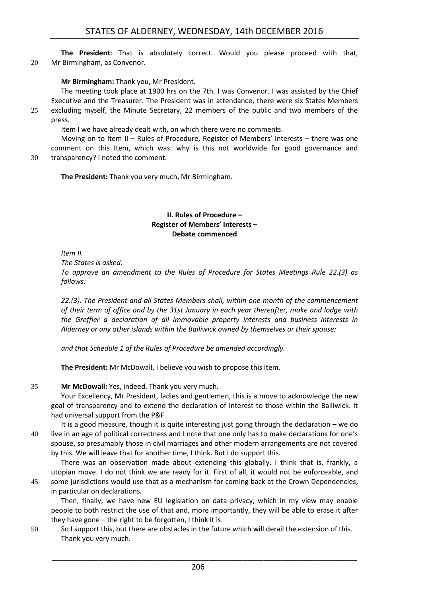**The President:** That is absolutely correct. Would you please proceed with that, 20 Mr Birmingham, as Convenor.

#### **Mr Birmingham:** Thank you, Mr President.

The meeting took place at 1900 hrs on the 7th. I was Convenor. I was assisted by the Chief Executive and the Treasurer. The President was in attendance, there were six States Members 25 excluding myself, the Minute Secretary, 22 members of the public and two members of the press.

Item I we have already dealt with, on which there were no comments.

Moving on to Item II – Rules of Procedure, Register of Members' Interests – there was one comment on this Item, which was: why is this not worldwide for good governance and 30 transparency? I noted the comment.

<span id="page-3-0"></span>**The President:** Thank you very much, Mr Birmingham.

#### **II. Rules of Procedure – Register of Members' Interests – Debate commenced**

*Item II.*

*The States is asked:*

*To approve an amendment to the Rules of Procedure for States Meetings Rule 22.(3) as follows:*

*22.(3). The President and all States Members shall, within one month of the commencement of their term of office and by the 31st January in each year thereafter, make and lodge with the Greffier a declaration of all immovable property interests and business interests in Alderney or any other islands within the Bailiwick owned by themselves or their spouse;*

*and that Schedule 1 of the Rules of Procedure be amended accordingly.*

**The President:** Mr McDowall, I believe you wish to propose this Item.

#### 35 **Mr McDowall:** Yes, indeed. Thank you very much.

Your Excellency, Mr President, ladies and gentlemen, this is a move to acknowledge the new goal of transparency and to extend the declaration of interest to those within the Bailiwick. It had universal support from the P&F.

It is a good measure, though it is quite interesting just going through the declaration – we do 40 live in an age of political correctness and I note that one only has to make declarations for one's spouse, so presumably those in civil marriages and other modern arrangements are not covered by this. We will leave that for another time, I think. But I do support this.

There was an observation made about extending this globally. I think that is, frankly, a utopian move. I do not think we are ready for it. First of all, it would not be enforceable, and 45 some jurisdictions would use that as a mechanism for coming back at the Crown Dependencies, in particular on declarations.

Then, finally, we have new EU legislation on data privacy, which in my view may enable people to both restrict the use of that and, more importantly, they will be able to erase it after they have gone – the right to be forgotten, I think it is.

50 So I support this, but there are obstacles in the future which will derail the extension of this. Thank you very much.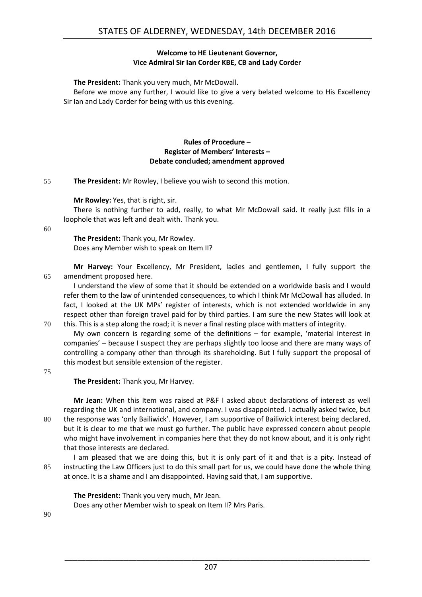#### **Welcome to HE Lieutenant Governor, Vice Admiral Sir Ian Corder KBE, CB and Lady Corder**

<span id="page-4-0"></span>**The President:** Thank you very much, Mr McDowall.

Before we move any further, I would like to give a very belated welcome to His Excellency Sir Ian and Lady Corder for being with us this evening.

#### **Rules of Procedure – Register of Members' Interests – Debate concluded; amendment approved**

<span id="page-4-1"></span>55 **The President:** Mr Rowley, I believe you wish to second this motion.

**Mr Rowley:** Yes, that is right, sir.

There is nothing further to add, really, to what Mr McDowall said. It really just fills in a loophole that was left and dealt with. Thank you.

60

**The President:** Thank you, Mr Rowley. Does any Member wish to speak on Item II?

**Mr Harvey:** Your Excellency, Mr President, ladies and gentlemen, I fully support the 65 amendment proposed here.

I understand the view of some that it should be extended on a worldwide basis and I would refer them to the law of unintended consequences, to which I think Mr McDowall has alluded. In fact, I looked at the UK MPs' register of interests, which is not extended worldwide in any respect other than foreign travel paid for by third parties. I am sure the new States will look at 70 this. This is a step along the road; it is never a final resting place with matters of integrity.

My own concern is regarding some of the definitions – for example, 'material interest in companies' – because I suspect they are perhaps slightly too loose and there are many ways of controlling a company other than through its shareholding. But I fully support the proposal of this modest but sensible extension of the register.

75

**The President:** Thank you, Mr Harvey.

**Mr Jean:** When this Item was raised at P&F I asked about declarations of interest as well regarding the UK and international, and company. I was disappointed. I actually asked twice, but 80 the response was 'only Bailiwick'. However, I am supportive of Bailiwick interest being declared, but it is clear to me that we must go further. The public have expressed concern about people who might have involvement in companies here that they do not know about, and it is only right that those interests are declared.

I am pleased that we are doing this, but it is only part of it and that is a pity. Instead of 85 instructing the Law Officers just to do this small part for us, we could have done the whole thing at once. It is a shame and I am disappointed. Having said that, I am supportive.

**The President:** Thank you very much, Mr Jean. Does any other Member wish to speak on Item II? Mrs Paris.

90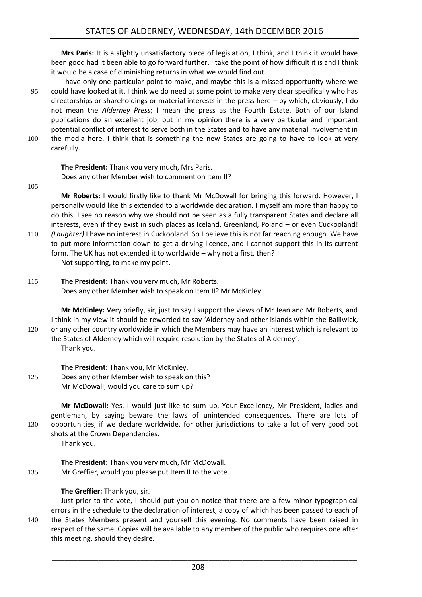**Mrs Paris:** It is a slightly unsatisfactory piece of legislation, I think, and I think it would have been good had it been able to go forward further. I take the point of how difficult it is and I think it would be a case of diminishing returns in what we would find out.

I have only one particular point to make, and maybe this is a missed opportunity where we 95 could have looked at it. I think we do need at some point to make very clear specifically who has directorships or shareholdings or material interests in the press here – by which, obviously, I do not mean the *Alderney Press*; I mean the press as the Fourth Estate. Both of our Island publications do an excellent job, but in my opinion there is a very particular and important potential conflict of interest to serve both in the States and to have any material involvement in 100 the media here. I think that is something the new States are going to have to look at very carefully.

#### **The President:** Thank you very much, Mrs Paris. Does any other Member wish to comment on Item II?

105

**Mr Roberts:** I would firstly like to thank Mr McDowall for bringing this forward. However, I personally would like this extended to a worldwide declaration. I myself am more than happy to do this. I see no reason why we should not be seen as a fully transparent States and declare all interests, even if they exist in such places as Iceland, Greenland, Poland – or even Cuckooland!

- 110 *(Laughter)* I have no interest in Cuckooland. So I believe this is not far reaching enough. We have to put more information down to get a driving licence, and I cannot support this in its current form. The UK has not extended it to worldwide – why not a first, then? Not supporting, to make my point.
- 115 **The President:** Thank you very much, Mr Roberts. Does any other Member wish to speak on Item II? Mr McKinley.

**Mr McKinley:** Very briefly, sir, just to say I support the views of Mr Jean and Mr Roberts, and I think in my view it should be reworded to say 'Alderney and other islands within the Bailiwick, 120 or any other country worldwide in which the Members may have an interest which is relevant to the States of Alderney which will require resolution by the States of Alderney'. Thank you.

**The President:** Thank you, Mr McKinley.

125 Does any other Member wish to speak on this? Mr McDowall, would you care to sum up?

**Mr McDowall:** Yes. I would just like to sum up, Your Excellency, Mr President, ladies and gentleman, by saying beware the laws of unintended consequences. There are lots of 130 opportunities, if we declare worldwide, for other jurisdictions to take a lot of very good pot shots at the Crown Dependencies.

Thank you.

**The President:** Thank you very much, Mr McDowall. 135 Mr Greffier, would you please put Item II to the vote.

#### **The Greffier:** Thank you, sir.

Just prior to the vote, I should put you on notice that there are a few minor typographical errors in the schedule to the declaration of interest, a copy of which has been passed to each of

140 the States Members present and yourself this evening. No comments have been raised in respect of the same. Copies will be available to any member of the public who requires one after this meeting, should they desire.

208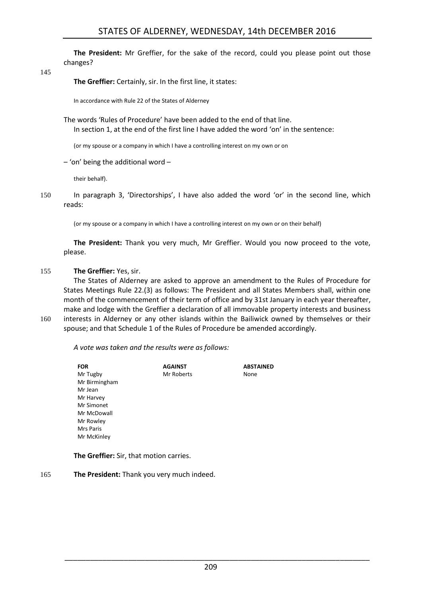**The President:** Mr Greffier, for the sake of the record, could you please point out those changes?

145

**The Greffier:** Certainly, sir. In the first line, it states:

In accordance with Rule 22 of the States of Alderney

The words 'Rules of Procedure' have been added to the end of that line. In section 1, at the end of the first line I have added the word 'on' in the sentence:

(or my spouse or a company in which I have a controlling interest on my own or on

– 'on' being the additional word –

their behalf).

150 In paragraph 3, 'Directorships', I have also added the word 'or' in the second line, which reads:

(or my spouse or a company in which I have a controlling interest on my own or on their behalf)

**The President:** Thank you very much, Mr Greffier. Would you now proceed to the vote, please.

#### 155 **The Greffier:** Yes, sir.

The States of Alderney are asked to approve an amendment to the Rules of Procedure for States Meetings Rule 22.(3) as follows: The President and all States Members shall, within one month of the commencement of their term of office and by 31st January in each year thereafter, make and lodge with the Greffier a declaration of all immovable property interests and business 160 interests in Alderney or any other islands within the Bailiwick owned by themselves or their spouse; and that Schedule 1 of the Rules of Procedure be amended accordingly.

*A vote was taken and the results were as follows:*

| FOR           | <b>AGAINST</b> | <b>ABSTAINED</b> |
|---------------|----------------|------------------|
| Mr Tugby      | Mr Roberts     | None             |
| Mr Birmingham |                |                  |
| Mr Jean       |                |                  |
| Mr Harvey     |                |                  |
| Mr Simonet    |                |                  |
| Mr McDowall   |                |                  |
| Mr Rowley     |                |                  |
| Mrs Paris     |                |                  |
| Mr McKinley   |                |                  |
|               |                |                  |

**The Greffier:** Sir, that motion carries.

165 **The President:** Thank you very much indeed.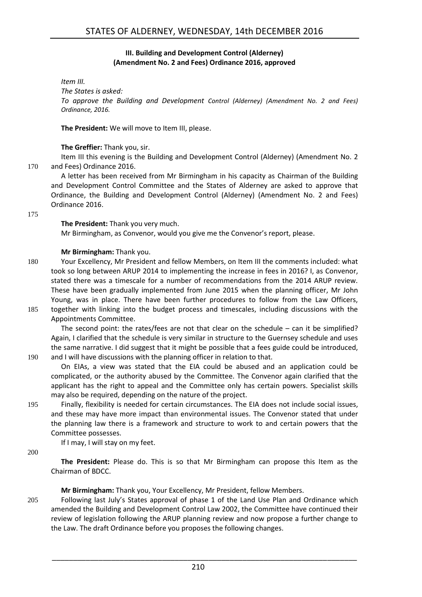#### **III. Building and Development Control (Alderney) (Amendment No. 2 and Fees) Ordinance 2016, approved**

<span id="page-7-0"></span>*Item III.*

*The States is asked: To approve the Building and Development Control (Alderney) (Amendment No. 2 and Fees) Ordinance, 2016.*

**The President:** We will move to Item III, please.

#### **The Greffier:** Thank you, sir.

Item III this evening is the Building and Development Control (Alderney) (Amendment No. 2 170 and Fees) Ordinance 2016.

A letter has been received from Mr Birmingham in his capacity as Chairman of the Building and Development Control Committee and the States of Alderney are asked to approve that Ordinance, the Building and Development Control (Alderney) (Amendment No. 2 and Fees) Ordinance 2016.

175

#### **The President:** Thank you very much.

Mr Birmingham, as Convenor, would you give me the Convenor's report, please.

#### **Mr Birmingham:** Thank you.

- 180 Your Excellency, Mr President and fellow Members, on Item III the comments included: what took so long between ARUP 2014 to implementing the increase in fees in 2016? I, as Convenor, stated there was a timescale for a number of recommendations from the 2014 ARUP review. These have been gradually implemented from June 2015 when the planning officer, Mr John Young, was in place. There have been further procedures to follow from the Law Officers, 185 together with linking into the budget process and timescales, including discussions with the
- Appointments Committee.

The second point: the rates/fees are not that clear on the schedule – can it be simplified? Again, I clarified that the schedule is very similar in structure to the Guernsey schedule and uses the same narrative. I did suggest that it might be possible that a fees guide could be introduced, 190 and I will have discussions with the planning officer in relation to that.

On EIAs, a view was stated that the EIA could be abused and an application could be complicated, or the authority abused by the Committee. The Convenor again clarified that the applicant has the right to appeal and the Committee only has certain powers. Specialist skills may also be required, depending on the nature of the project.

195 Finally, flexibility is needed for certain circumstances. The EIA does not include social issues, and these may have more impact than environmental issues. The Convenor stated that under the planning law there is a framework and structure to work to and certain powers that the Committee possesses.

If I may, I will stay on my feet.

200

**The President:** Please do. This is so that Mr Birmingham can propose this Item as the Chairman of BDCC.

**Mr Birmingham:** Thank you, Your Excellency, Mr President, fellow Members.

205 Following last July's States approval of phase 1 of the Land Use Plan and Ordinance which amended the Building and Development Control Law 2002, the Committee have continued their review of legislation following the ARUP planning review and now propose a further change to the Law. The draft Ordinance before you proposes the following changes.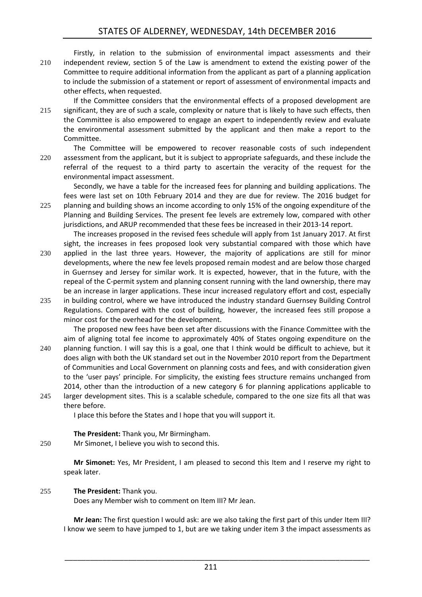Firstly, in relation to the submission of environmental impact assessments and their 210 independent review, section 5 of the Law is amendment to extend the existing power of the Committee to require additional information from the applicant as part of a planning application to include the submission of a statement or report of assessment of environmental impacts and other effects, when requested.

If the Committee considers that the environmental effects of a proposed development are 215 significant, they are of such a scale, complexity or nature that is likely to have such effects, then the Committee is also empowered to engage an expert to independently review and evaluate the environmental assessment submitted by the applicant and then make a report to the Committee.

The Committee will be empowered to recover reasonable costs of such independent 220 assessment from the applicant, but it is subject to appropriate safeguards, and these include the referral of the request to a third party to ascertain the veracity of the request for the environmental impact assessment.

Secondly, we have a table for the increased fees for planning and building applications. The fees were last set on 10th February 2014 and they are due for review. The 2016 budget for 225 planning and building shows an income according to only 15% of the ongoing expenditure of the Planning and Building Services. The present fee levels are extremely low, compared with other

jurisdictions, and ARUP recommended that these fees be increased in their 2013-14 report. The increases proposed in the revised fees schedule will apply from 1st January 2017. At first sight, the increases in fees proposed look very substantial compared with those which have

230 applied in the last three years. However, the majority of applications are still for minor developments, where the new fee levels proposed remain modest and are below those charged in Guernsey and Jersey for similar work. It is expected, however, that in the future, with the repeal of the C-permit system and planning consent running with the land ownership, there may be an increase in larger applications. These incur increased regulatory effort and cost, especially

235 in building control, where we have introduced the industry standard Guernsey Building Control Regulations. Compared with the cost of building, however, the increased fees still propose a minor cost for the overhead for the development.

The proposed new fees have been set after discussions with the Finance Committee with the aim of aligning total fee income to approximately 40% of States ongoing expenditure on the 240 planning function. I will say this is a goal, one that I think would be difficult to achieve, but it does align with both the UK standard set out in the November 2010 report from the Department of Communities and Local Government on planning costs and fees, and with consideration given to the 'user pays' principle. For simplicity, the existing fees structure remains unchanged from 2014, other than the introduction of a new category 6 for planning applications applicable to 245 larger development sites. This is a scalable schedule, compared to the one size fits all that was

there before.

I place this before the States and I hope that you will support it.

**The President:** Thank you, Mr Birmingham.

250 Mr Simonet, I believe you wish to second this.

**Mr Simonet:** Yes, Mr President, I am pleased to second this Item and I reserve my right to speak later.

#### 255 **The President:** Thank you.

Does any Member wish to comment on Item III? Mr Jean.

**Mr Jean:** The first question I would ask: are we also taking the first part of this under Item III? I know we seem to have jumped to 1, but are we taking under item 3 the impact assessments as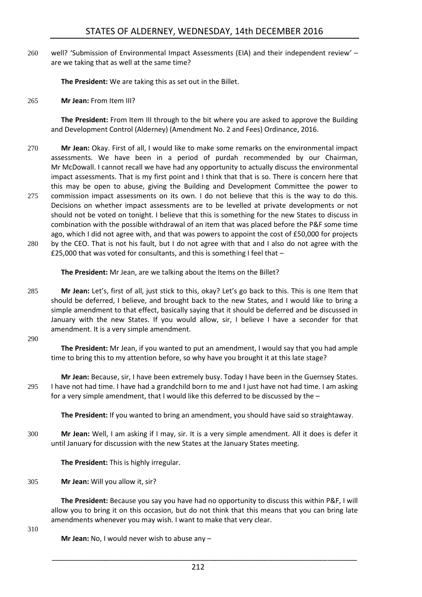260 well? 'Submission of Environmental Impact Assessments (EIA) and their independent review' – are we taking that as well at the same time?

**The President:** We are taking this as set out in the Billet.

265 **Mr Jean:** From Item III?

**The President:** From Item III through to the bit where you are asked to approve the Building and Development Control (Alderney) (Amendment No. 2 and Fees) Ordinance, 2016.

- 270 **Mr Jean:** Okay. First of all, I would like to make some remarks on the environmental impact assessments. We have been in a period of purdah recommended by our Chairman, Mr McDowall. I cannot recall we have had any opportunity to actually discuss the environmental impact assessments. That is my first point and I think that that is so. There is concern here that this may be open to abuse, giving the Building and Development Committee the power to
- 275 commission impact assessments on its own. I do not believe that this is the way to do this. Decisions on whether impact assessments are to be levelled at private developments or not should not be voted on tonight. I believe that this is something for the new States to discuss in combination with the possible withdrawal of an item that was placed before the P&F some time ago, which I did not agree with, and that was powers to appoint the cost of £50,000 for projects
- 280 by the CEO. That is not his fault, but I do not agree with that and I also do not agree with the £25,000 that was voted for consultants, and this is something I feel that –

**The President:** Mr Jean, are we talking about the Items on the Billet?

285 **Mr Jean:** Let's, first of all, just stick to this, okay? Let's go back to this. This is one Item that should be deferred, I believe, and brought back to the new States, and I would like to bring a simple amendment to that effect, basically saying that it should be deferred and be discussed in January with the new States. If you would allow, sir, I believe I have a seconder for that amendment. It is a very simple amendment.

290

**The President:** Mr Jean, if you wanted to put an amendment, I would say that you had ample time to bring this to my attention before, so why have you brought it at this late stage?

**Mr Jean:** Because, sir, I have been extremely busy. Today I have been in the Guernsey States. 295 I have not had time. I have had a grandchild born to me and I just have not had time. I am asking for a very simple amendment, that I would like this deferred to be discussed by the –

**The President:** If you wanted to bring an amendment, you should have said so straightaway.

300 **Mr Jean:** Well, I am asking if I may, sir. It is a very simple amendment. All it does is defer it until January for discussion with the new States at the January States meeting.

**The President:** This is highly irregular.

305 **Mr Jean:** Will you allow it, sir?

**The President:** Because you say you have had no opportunity to discuss this within P&F, I will allow you to bring it on this occasion, but do not think that this means that you can bring late amendments whenever you may wish. I want to make that very clear.

310

**Mr Jean:** No, I would never wish to abuse any –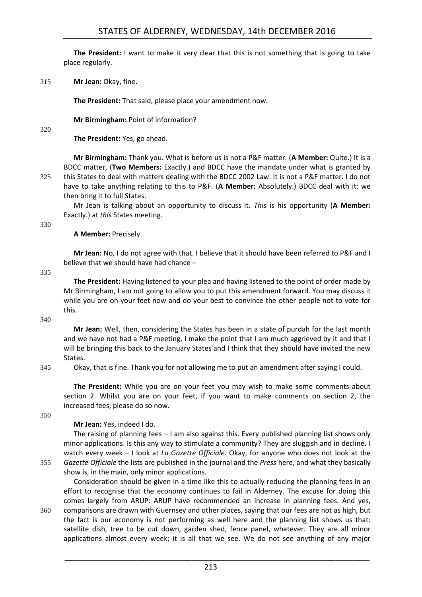**The President:** I want to make it very clear that this is not something that is going to take place regularly.

315 **Mr Jean:** Okay, fine.

**The President:** That said, please place your amendment now.

**Mr Birmingham:** Point of information?

320

**The President:** Yes, go ahead.

**Mr Birmingham:** Thank you. What is before us is not a P&F matter. (**A Member:** Quite.) It is a BDCC matter, (**Two Members:** Exactly.) and BDCC have the mandate under what is granted by 325 this States to deal with matters dealing with the BDCC 2002 Law. It is not a P&F matter. I do not have to take anything relating to this to P&F. (**A Member:** Absolutely.) BDCC deal with it; we then bring it to full States.

Mr Jean is talking about an opportunity to discuss it. *This* is his opportunity (**A Member:**  Exactly.) at *this* States meeting.

330

#### **A Member:** Precisely.

**Mr Jean:** No, I do not agree with that. I believe that it should have been referred to P&F and I believe that we should have had chance –

335

**The President:** Having listened to your plea and having listened to the point of order made by Mr Birmingham, I am not going to allow you to put this amendment forward. You may discuss it while you are on your feet now and do your best to convince the other people not to vote for this.

340

**Mr Jean:** Well, then, considering the States has been in a state of purdah for the last month and we have not had a P&F meeting, I make the point that I am much aggrieved by it and that I will be bringing this back to the January States and I think that they should have invited the new States.

345 Okay, that is fine. Thank you for not allowing me to put an amendment after saying I could.

**The President:** While you are on your feet you may wish to make some comments about section 2. Whilst you are on your feet, if you want to make comments on section 2, the increased fees, please do so now.

350

#### **Mr Jean:** Yes, indeed I do.

The raising of planning fees – I am also against this. Every published planning list shows only minor applications. Is this any way to stimulate a community? They are sluggish and in decline. I watch every week – I look at *La Gazette Officiale*. Okay, for anyone who does not look at the 355 *Gazette Officiale* the lists are published in the journal and the *Press* here, and what they basically show is, in the main, only minor applications.

Consideration should be given in a time like this to actually reducing the planning fees in an effort to recognise that the economy continues to fail in Alderney. The excuse for doing this comes largely from ARUP: ARUP have recommended an increase in planning fees. And yes,

360 comparisons are drawn with Guernsey and other places, saying that our fees are not as high, but the fact is our economy is not performing as well here and the planning list shows us that: satellite dish, tree to be cut down, garden shed, fence panel, whatever. They are all minor applications almost every week; it is all that we see. We do not see anything of any major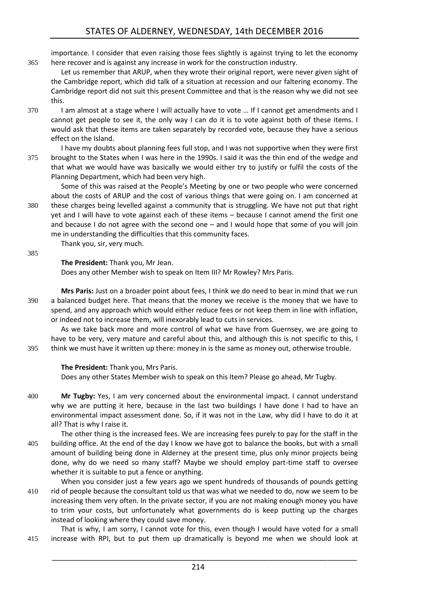importance. I consider that even raising those fees slightly is against trying to let the economy 365 here recover and is against any increase in work for the construction industry.

Let us remember that ARUP, when they wrote their original report, were never given sight of the Cambridge report, which did talk of a situation at recession and our faltering economy. The Cambridge report did not suit this present Committee and that is the reason why we did not see this.

- 370 I am almost at a stage where I will actually have to vote … If I cannot get amendments and I cannot get people to see it, the only way I can do it is to vote against both of these items. I would ask that these items are taken separately by recorded vote, because they have a serious effect on the Island.
- I have my doubts about planning fees full stop, and I was not supportive when they were first 375 brought to the States when I was here in the 1990s. I said it was the thin end of the wedge and that what we would have was basically we would either try to justify or fulfil the costs of the Planning Department, which had been very high.

Some of this was raised at the People's Meeting by one or two people who were concerned about the costs of ARUP and the cost of various things that were going on. I am concerned at 380 these charges being levelled against a community that is struggling. We have not put that right yet and I will have to vote against each of these items – because I cannot amend the first one and because I do not agree with the second one – and I would hope that some of you will join me in understanding the difficulties that this community faces.

Thank you, sir, very much.

385

**The President:** Thank you, Mr Jean.

Does any other Member wish to speak on Item III? Mr Rowley? Mrs Paris.

**Mrs Paris:** Just on a broader point about fees, I think we do need to bear in mind that we run 390 a balanced budget here. That means that the money we receive is the money that we have to spend, and any approach which would either reduce fees or not keep them in line with inflation, or indeed not to increase them, will inexorably lead to cuts in services.

As we take back more and more control of what we have from Guernsey, we are going to have to be very, very mature and careful about this, and although this is not specific to this, I 395 think we must have it written up there: money in is the same as money out, otherwise trouble.

#### **The President:** Thank you, Mrs Paris.

Does any other States Member wish to speak on this Item? Please go ahead, Mr Tugby.

- 400 **Mr Tugby:** Yes, I am very concerned about the environmental impact. I cannot understand why we are putting it here, because in the last two buildings I have done I had to have an environmental impact assessment done. So, if it was not in the Law, why did I have to do it at all? That is why I raise it.
- The other thing is the increased fees. We are increasing fees purely to pay for the staff in the 405 building office. At the end of the day I know we have got to balance the books, but with a small amount of building being done in Alderney at the present time, plus only minor projects being done, why do we need so many staff? Maybe we should employ part-time staff to oversee whether it is suitable to put a fence or anything.
- When you consider just a few years ago we spent hundreds of thousands of pounds getting 410 rid of people because the consultant told us that was what we needed to do, now we seem to be increasing them very often. In the private sector, if you are not making enough money you have to trim your costs, but unfortunately what governments do is keep putting up the charges instead of looking where they could save money.

That is why, I am sorry, I cannot vote for this, even though I would have voted for a small 415 increase with RPI, but to put them up dramatically is beyond me when we should look at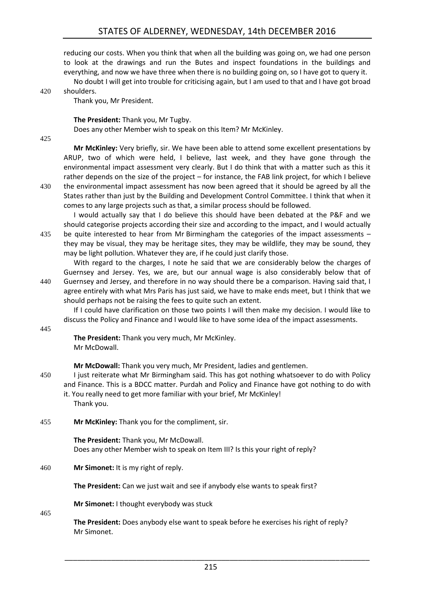reducing our costs. When you think that when all the building was going on, we had one person to look at the drawings and run the Butes and inspect foundations in the buildings and everything, and now we have three when there is no building going on, so I have got to query it.

No doubt I will get into trouble for criticising again, but I am used to that and I have got broad

420 shoulders.

Thank you, Mr President.

**The President:** Thank you, Mr Tugby.

Does any other Member wish to speak on this Item? Mr McKinley.

425

**Mr McKinley:** Very briefly, sir. We have been able to attend some excellent presentations by ARUP, two of which were held, I believe, last week, and they have gone through the environmental impact assessment very clearly. But I do think that with a matter such as this it rather depends on the size of the project – for instance, the FAB link project, for which I believe 430 the environmental impact assessment has now been agreed that it should be agreed by all the

States rather than just by the Building and Development Control Committee. I think that when it comes to any large projects such as that, a similar process should be followed.

I would actually say that I do believe this should have been debated at the P&F and we should categorise projects according their size and according to the impact, and I would actually 435 be quite interested to hear from Mr Birmingham the categories of the impact assessments – they may be visual, they may be heritage sites, they may be wildlife, they may be sound, they may be light pollution. Whatever they are, if he could just clarify those.

With regard to the charges, I note he said that we are considerably below the charges of Guernsey and Jersey. Yes, we are, but our annual wage is also considerably below that of 440 Guernsey and Jersey, and therefore in no way should there be a comparison. Having said that, I

agree entirely with what Mrs Paris has just said, we have to make ends meet, but I think that we should perhaps not be raising the fees to quite such an extent.

If I could have clarification on those two points I will then make my decision. I would like to discuss the Policy and Finance and I would like to have some idea of the impact assessments.

445

**The President:** Thank you very much, Mr McKinley. Mr McDowall.

**Mr McDowall:** Thank you very much, Mr President, ladies and gentlemen.

450 I just reiterate what Mr Birmingham said. This has got nothing whatsoever to do with Policy and Finance. This is a BDCC matter. Purdah and Policy and Finance have got nothing to do with it. You really need to get more familiar with your brief, Mr McKinley!

Thank you.

455 **Mr McKinley:** Thank you for the compliment, sir.

**The President:** Thank you, Mr McDowall. Does any other Member wish to speak on Item III? Is this your right of reply?

460 **Mr Simonet:** It is my right of reply.

**The President:** Can we just wait and see if anybody else wants to speak first?

**Mr Simonet:** I thought everybody was stuck

465

**The President:** Does anybody else want to speak before he exercises his right of reply? Mr Simonet.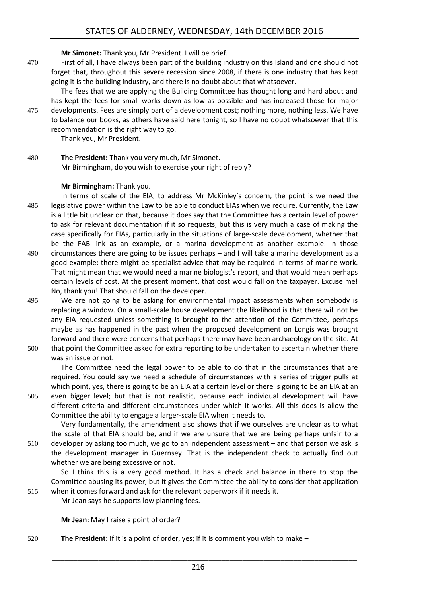**Mr Simonet:** Thank you, Mr President. I will be brief.

- 470 First of all, I have always been part of the building industry on this Island and one should not forget that, throughout this severe recession since 2008, if there is one industry that has kept going it is the building industry, and there is no doubt about that whatsoever.
- The fees that we are applying the Building Committee has thought long and hard about and has kept the fees for small works down as low as possible and has increased those for major 475 developments. Fees are simply part of a development cost; nothing more, nothing less. We have to balance our books, as others have said here tonight, so I have no doubt whatsoever that this recommendation is the right way to go.

Thank you, Mr President.

480 **The President:** Thank you very much, Mr Simonet. Mr Birmingham, do you wish to exercise your right of reply?

#### **Mr Birmingham:** Thank you.

- In terms of scale of the EIA, to address Mr McKinley's concern, the point is we need the 485 legislative power within the Law to be able to conduct EIAs when we require. Currently, the Law is a little bit unclear on that, because it does say that the Committee has a certain level of power to ask for relevant documentation if it so requests, but this is very much a case of making the case specifically for EIAs, particularly in the situations of large-scale development, whether that be the FAB link as an example, or a marina development as another example. In those 490 circumstances there are going to be issues perhaps – and I will take a marina development as a good example: there might be specialist advice that may be required in terms of marine work. That might mean that we would need a marine biologist's report, and that would mean perhaps certain levels of cost. At the present moment, that cost would fall on the taxpayer. Excuse me! No, thank you! That should fall on the developer.
- 495 We are not going to be asking for environmental impact assessments when somebody is replacing a window. On a small-scale house development the likelihood is that there will not be any EIA requested unless something is brought to the attention of the Committee, perhaps maybe as has happened in the past when the proposed development on Longis was brought forward and there were concerns that perhaps there may have been archaeology on the site. At
- 500 that point the Committee asked for extra reporting to be undertaken to ascertain whether there was an issue or not.

The Committee need the legal power to be able to do that in the circumstances that are required. You could say we need a schedule of circumstances with a series of trigger pulls at which point, yes, there is going to be an EIA at a certain level or there is going to be an EIA at an 505 even bigger level; but that is not realistic, because each individual development will have

different criteria and different circumstances under which it works. All this does is allow the Committee the ability to engage a larger-scale EIA when it needs to.

Very fundamentally, the amendment also shows that if we ourselves are unclear as to what the scale of that EIA should be, and if we are unsure that we are being perhaps unfair to a 510 developer by asking too much, we go to an independent assessment – and that person we ask is the development manager in Guernsey. That is the independent check to actually find out whether we are being excessive or not.

So I think this is a very good method. It has a check and balance in there to stop the Committee abusing its power, but it gives the Committee the ability to consider that application 515 when it comes forward and ask for the relevant paperwork if it needs it.

Mr Jean says he supports low planning fees.

**Mr Jean:** May I raise a point of order?

520 **The President:** If it is a point of order, yes; if it is comment you wish to make –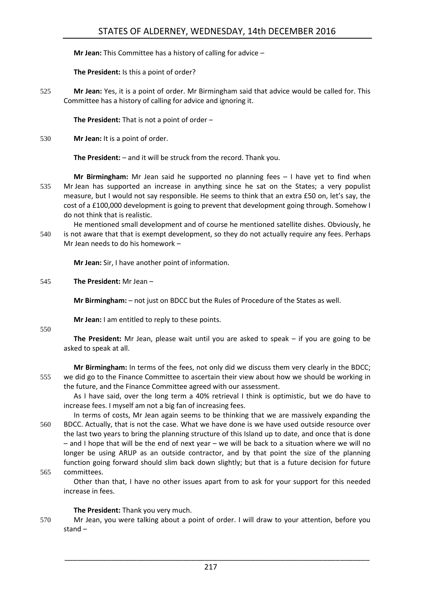**Mr Jean:** This Committee has a history of calling for advice –

**The President:** Is this a point of order?

525 **Mr Jean:** Yes, it is a point of order. Mr Birmingham said that advice would be called for. This Committee has a history of calling for advice and ignoring it.

**The President:** That is not a point of order –

530 **Mr Jean:** It is a point of order.

**The President:** – and it will be struck from the record. Thank you.

- **Mr Birmingham:** Mr Jean said he supported no planning fees I have yet to find when 535 Mr Jean has supported an increase in anything since he sat on the States; a very populist measure, but I would not say responsible. He seems to think that an extra £50 on, let's say, the cost of a £100,000 development is going to prevent that development going through. Somehow I do not think that is realistic.
- He mentioned small development and of course he mentioned satellite dishes. Obviously, he 540 is not aware that that is exempt development, so they do not actually require any fees. Perhaps Mr Jean needs to do his homework –

**Mr Jean:** Sir, I have another point of information.

545 **The President:** Mr Jean –

**Mr Birmingham:** – not just on BDCC but the Rules of Procedure of the States as well.

**Mr Jean:** I am entitled to reply to these points.

#### 550

**The President:** Mr Jean, please wait until you are asked to speak – if you are going to be asked to speak at all.

**Mr Birmingham:** In terms of the fees, not only did we discuss them very clearly in the BDCC; 555 we did go to the Finance Committee to ascertain their view about how we should be working in the future, and the Finance Committee agreed with our assessment.

As I have said, over the long term a 40% retrieval I think is optimistic, but we do have to increase fees. I myself am not a big fan of increasing fees.

- In terms of costs, Mr Jean again seems to be thinking that we are massively expanding the 560 BDCC. Actually, that is not the case. What we have done is we have used outside resource over the last two years to bring the planning structure of this Island up to date, and once that is done – and I hope that will be the end of next year – we will be back to a situation where we will no longer be using ARUP as an outside contractor, and by that point the size of the planning function going forward should slim back down slightly; but that is a future decision for future 565 committees.
- 

Other than that, I have no other issues apart from to ask for your support for this needed increase in fees.

#### **The President:** Thank you very much.

570 Mr Jean, you were talking about a point of order. I will draw to your attention, before you stand –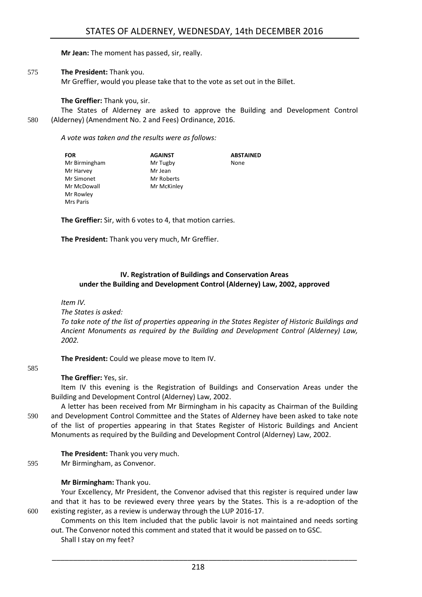**Mr Jean:** The moment has passed, sir, really.

#### 575 **The President:** Thank you.

Mr Greffier, would you please take that to the vote as set out in the Billet.

**The Greffier:** Thank you, sir.

The States of Alderney are asked to approve the Building and Development Control 580 (Alderney) (Amendment No. 2 and Fees) Ordinance, 2016.

*A vote was taken and the results were as follows:*

| <b>FOR</b>    | <b>AGAINST</b> | <b>ABSTAINED</b> |
|---------------|----------------|------------------|
| Mr Birmingham | Mr Tugby       | None             |
| Mr Harvey     | Mr Jean        |                  |
| Mr Simonet    | Mr Roberts     |                  |
| Mr McDowall   | Mr McKinley    |                  |
| Mr Rowley     |                |                  |
| Mrs Paris     |                |                  |

**The Greffier:** Sir, with 6 votes to 4, that motion carries.

**The President:** Thank you very much, Mr Greffier.

#### <span id="page-15-0"></span>**IV. Registration of Buildings and Conservation Areas under the Building and Development Control (Alderney) Law, 2002, approved**

*Item IV.*

*The States is asked:*

*To take note of the list of properties appearing in the States Register of Historic Buildings and Ancient Monuments as required by the Building and Development Control (Alderney) Law, 2002.*

**The President:** Could we please move to Item IV.

#### 585

**The Greffier:** Yes, sir.

Item IV this evening is the Registration of Buildings and Conservation Areas under the Building and Development Control (Alderney) Law, 2002.

A letter has been received from Mr Birmingham in his capacity as Chairman of the Building 590 and Development Control Committee and the States of Alderney have been asked to take note of the list of properties appearing in that States Register of Historic Buildings and Ancient Monuments as required by the Building and Development Control (Alderney) Law, 2002.

**The President:** Thank you very much. 595 Mr Birmingham, as Convenor.

#### **Mr Birmingham:** Thank you.

Your Excellency, Mr President, the Convenor advised that this register is required under law and that it has to be reviewed every three years by the States. This is a re-adoption of the 600 existing register, as a review is underway through the LUP 2016-17.

Comments on this Item included that the public lavoir is not maintained and needs sorting out. The Convenor noted this comment and stated that it would be passed on to GSC.

Shall I stay on my feet?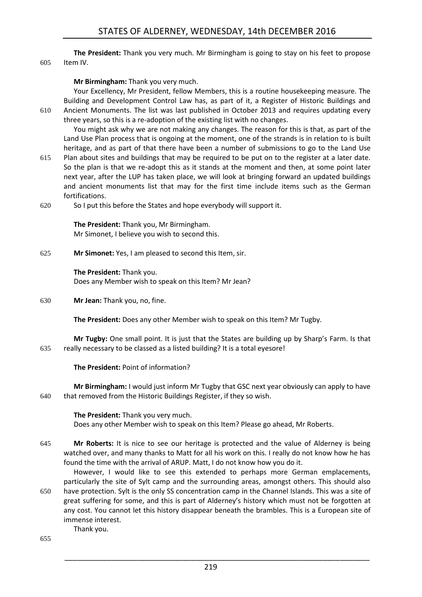**The President:** Thank you very much. Mr Birmingham is going to stay on his feet to propose 605 Item IV.

#### **Mr Birmingham:** Thank you very much.

Your Excellency, Mr President, fellow Members, this is a routine housekeeping measure. The Building and Development Control Law has, as part of it, a Register of Historic Buildings and 610 Ancient Monuments. The list was last published in October 2013 and requires updating every three years, so this is a re-adoption of the existing list with no changes.

You might ask why we are not making any changes. The reason for this is that, as part of the Land Use Plan process that is ongoing at the moment, one of the strands is in relation to is built heritage, and as part of that there have been a number of submissions to go to the Land Use

- 615 Plan about sites and buildings that may be required to be put on to the register at a later date. So the plan is that we re-adopt this as it stands at the moment and then, at some point later next year, after the LUP has taken place, we will look at bringing forward an updated buildings and ancient monuments list that may for the first time include items such as the German fortifications.
- 620 So I put this before the States and hope everybody will support it.

**The President:** Thank you, Mr Birmingham. Mr Simonet, I believe you wish to second this.

625 **Mr Simonet:** Yes, I am pleased to second this Item, sir.

**The President:** Thank you. Does any Member wish to speak on this Item? Mr Jean?

630 **Mr Jean:** Thank you, no, fine.

**The President:** Does any other Member wish to speak on this Item? Mr Tugby.

**Mr Tugby:** One small point. It is just that the States are building up by Sharp's Farm. Is that 635 really necessary to be classed as a listed building? It is a total eyesore!

#### **The President:** Point of information?

**Mr Birmingham:** I would just inform Mr Tugby that GSC next year obviously can apply to have 640 that removed from the Historic Buildings Register, if they so wish.

**The President:** Thank you very much. Does any other Member wish to speak on this Item? Please go ahead, Mr Roberts.

645 **Mr Roberts:** It is nice to see our heritage is protected and the value of Alderney is being watched over, and many thanks to Matt for all his work on this. I really do not know how he has found the time with the arrival of ARUP. Matt, I do not know how you do it.

However, I would like to see this extended to perhaps more German emplacements, particularly the site of Sylt camp and the surrounding areas, amongst others. This should also 650 have protection. Sylt is the only SS concentration camp in the Channel Islands. This was a site of great suffering for some, and this is part of Alderney's history which must not be forgotten at any cost. You cannot let this history disappear beneath the brambles. This is a European site of immense interest.

Thank you.

655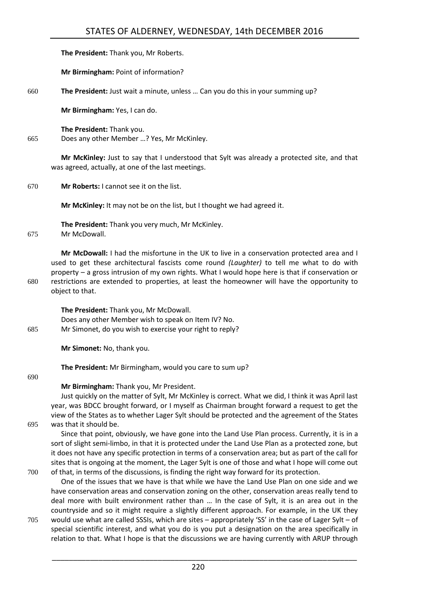|     | The President: Thank you, Mr Roberts.                                                                                                                                                                                                                                                                                                                                                                                                                                                       |
|-----|---------------------------------------------------------------------------------------------------------------------------------------------------------------------------------------------------------------------------------------------------------------------------------------------------------------------------------------------------------------------------------------------------------------------------------------------------------------------------------------------|
|     | Mr Birmingham: Point of information?                                                                                                                                                                                                                                                                                                                                                                                                                                                        |
| 660 | The President: Just wait a minute, unless  Can you do this in your summing up?                                                                                                                                                                                                                                                                                                                                                                                                              |
|     | Mr Birmingham: Yes, I can do.                                                                                                                                                                                                                                                                                                                                                                                                                                                               |
| 665 | The President: Thank you.<br>Does any other Member ? Yes, Mr McKinley.                                                                                                                                                                                                                                                                                                                                                                                                                      |
|     | Mr McKinley: Just to say that I understood that Sylt was already a protected site, and that<br>was agreed, actually, at one of the last meetings.                                                                                                                                                                                                                                                                                                                                           |
| 670 | Mr Roberts: I cannot see it on the list.                                                                                                                                                                                                                                                                                                                                                                                                                                                    |
|     | Mr McKinley: It may not be on the list, but I thought we had agreed it.                                                                                                                                                                                                                                                                                                                                                                                                                     |
| 675 | The President: Thank you very much, Mr McKinley.<br>Mr McDowall.                                                                                                                                                                                                                                                                                                                                                                                                                            |
| 680 | Mr McDowall: I had the misfortune in the UK to live in a conservation protected area and I<br>used to get these architectural fascists come round (Laughter) to tell me what to do with<br>property - a gross intrusion of my own rights. What I would hope here is that if conservation or<br>restrictions are extended to properties, at least the homeowner will have the opportunity to<br>object to that.                                                                              |
| 685 | The President: Thank you, Mr McDowall.<br>Does any other Member wish to speak on Item IV? No.<br>Mr Simonet, do you wish to exercise your right to reply?                                                                                                                                                                                                                                                                                                                                   |
|     | Mr Simonet: No, thank you.                                                                                                                                                                                                                                                                                                                                                                                                                                                                  |
| 690 | The President: Mr Birmingham, would you care to sum up?                                                                                                                                                                                                                                                                                                                                                                                                                                     |
|     | Mr Birmingham: Thank you, Mr President.<br>Just quickly on the matter of Sylt, Mr McKinley is correct. What we did, I think it was April last<br>year, was BDCC brought forward, or I myself as Chairman brought forward a request to get the<br>view of the States as to whether Lager Sylt should be protected and the agreement of the States                                                                                                                                            |
| 695 | was that it should be.<br>Since that point, obviously, we have gone into the Land Use Plan process. Currently, it is in a<br>sort of slight semi-limbo, in that it is protected under the Land Use Plan as a protected zone, but<br>it does not have any specific protection in terms of a conservation area; but as part of the call for<br>sites that is ongoing at the moment, the Lager Sylt is one of those and what I hope will come out                                              |
| 700 | of that, in terms of the discussions, is finding the right way forward for its protection.<br>One of the issues that we have is that while we have the Land Use Plan on one side and we<br>have conservation areas and conservation zoning on the other, conservation areas really tend to<br>deal more with built environment rather than  In the case of Sylt, it is an area out in the<br>countryside and so it might require a slightly different approach. For example, in the UK they |

705 would use what are called SSSIs, which are sites – appropriately 'SS' in the case of Lager Sylt – of special scientific interest, and what you do is you put a designation on the area specifically in relation to that. What I hope is that the discussions we are having currently with ARUP through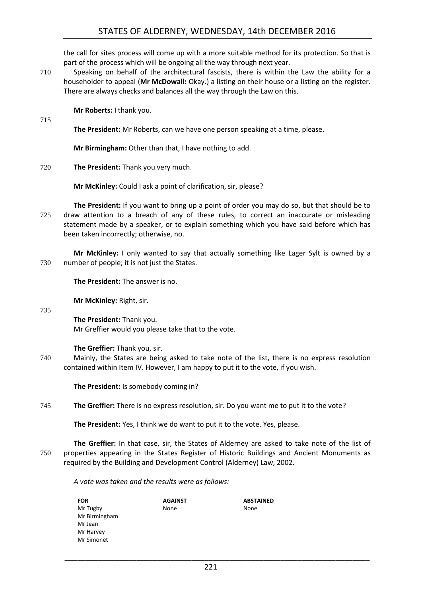the call for sites process will come up with a more suitable method for its protection. So that is part of the process which will be ongoing all the way through next year.

710 Speaking on behalf of the architectural fascists, there is within the Law the ability for a householder to appeal (**Mr McDowall:** Okay.) a listing on their house or a listing on the register. There are always checks and balances all the way through the Law on this.

**Mr Roberts:** I thank you.

715

**The President:** Mr Roberts, can we have one person speaking at a time, please.

**Mr Birmingham:** Other than that, I have nothing to add.

720 **The President:** Thank you very much.

**Mr McKinley:** Could I ask a point of clarification, sir, please?

**The President:** If you want to bring up a point of order you may do so, but that should be to 725 draw attention to a breach of any of these rules, to correct an inaccurate or misleading statement made by a speaker, or to explain something which you have said before which has been taken incorrectly; otherwise, no.

**Mr McKinley:** I only wanted to say that actually something like Lager Sylt is owned by a 730 number of people; it is not just the States.

**The President:** The answer is no.

735

**Mr McKinley:** Right, sir.

**The President:** Thank you. Mr Greffier would you please take that to the vote.

**The Greffier:** Thank you, sir.

740 Mainly, the States are being asked to take note of the list, there is no express resolution contained within Item IV. However, I am happy to put it to the vote, if you wish.

**The President:** Is somebody coming in?

745 **The Greffier:** There is no express resolution, sir. Do you want me to put it to the vote?

**The President:** Yes, I think we do want to put it to the vote. Yes, please.

**The Greffier:** In that case, sir, the States of Alderney are asked to take note of the list of 750 properties appearing in the States Register of Historic Buildings and Ancient Monuments as required by the Building and Development Control (Alderney) Law, 2002.

*A vote was taken and the results were as follows:*

| FOR           | <b>AGAINST</b> | <b>ABSTAINED</b> |
|---------------|----------------|------------------|
| Mr Tugby      | None           | None             |
| Mr Birmingham |                |                  |
| Mr Jean       |                |                  |
| Mr Harvey     |                |                  |
| Mr Simonet    |                |                  |
|               |                |                  |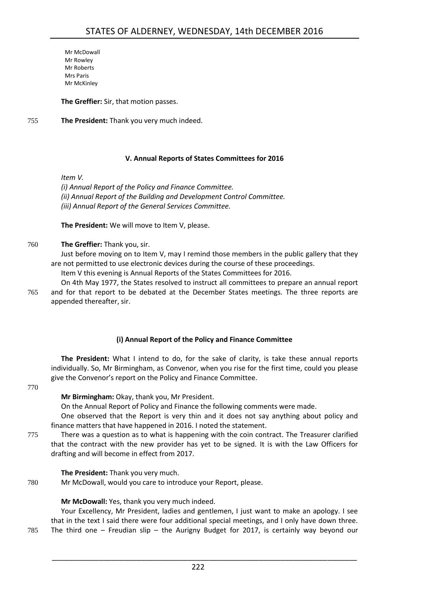Mr McDowall Mr Rowley Mr Roberts Mrs Paris Mr McKinley

**The Greffier:** Sir, that motion passes.

755 **The President:** Thank you very much indeed.

#### **V. Annual Reports of States Committees for 2016**

<span id="page-19-0"></span>*Item V.*

*(i) Annual Report of the Policy and Finance Committee. (ii) Annual Report of the Building and Development Control Committee. (iii) Annual Report of the General Services Committee.*

**The President:** We will move to Item V, please.

760 **The Greffier:** Thank you, sir.

Just before moving on to Item V, may I remind those members in the public gallery that they are not permitted to use electronic devices during the course of these proceedings.

Item V this evening is Annual Reports of the States Committees for 2016.

On 4th May 1977, the States resolved to instruct all committees to prepare an annual report 765 and for that report to be debated at the December States meetings. The three reports are appended thereafter, sir.

#### **(i) Annual Report of the Policy and Finance Committee**

<span id="page-19-1"></span>**The President:** What I intend to do, for the sake of clarity, is take these annual reports individually. So, Mr Birmingham, as Convenor, when you rise for the first time, could you please give the Convenor's report on the Policy and Finance Committee.

#### 770

**Mr Birmingham:** Okay, thank you, Mr President.

On the Annual Report of Policy and Finance the following comments were made.

One observed that the Report is very thin and it does not say anything about policy and finance matters that have happened in 2016. I noted the statement.

775 There was a question as to what is happening with the coin contract. The Treasurer clarified that the contract with the new provider has yet to be signed. It is with the Law Officers for drafting and will become in effect from 2017.

**The President:** Thank you very much.

780 Mr McDowall, would you care to introduce your Report, please.

**Mr McDowall:** Yes, thank you very much indeed.

Your Excellency, Mr President, ladies and gentlemen, I just want to make an apology. I see that in the text I said there were four additional special meetings, and I only have down three. 785 The third one – Freudian slip – the Aurigny Budget for 2017, is certainly way beyond our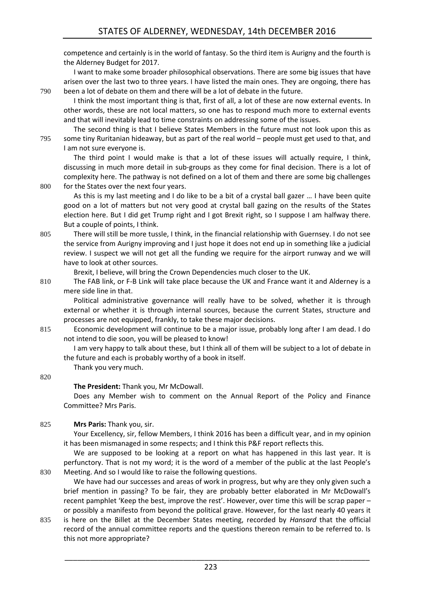competence and certainly is in the world of fantasy. So the third item is Aurigny and the fourth is the Alderney Budget for 2017.

I want to make some broader philosophical observations. There are some big issues that have arisen over the last two to three years. I have listed the main ones. They are ongoing, there has 790 been a lot of debate on them and there will be a lot of debate in the future.

I think the most important thing is that, first of all, a lot of these are now external events. In other words, these are not local matters, so one has to respond much more to external events and that will inevitably lead to time constraints on addressing some of the issues.

The second thing is that I believe States Members in the future must not look upon this as 795 some tiny Ruritanian hideaway, but as part of the real world – people must get used to that, and I am not sure everyone is.

The third point I would make is that a lot of these issues will actually require, I think, discussing in much more detail in sub-groups as they come for final decision. There is a lot of complexity here. The pathway is not defined on a lot of them and there are some big challenges 800 for the States over the next four years.

As this is my last meeting and I do like to be a bit of a crystal ball gazer … I have been quite good on a lot of matters but not very good at crystal ball gazing on the results of the States election here. But I did get Trump right and I got Brexit right, so I suppose I am halfway there. But a couple of points, I think.

805 There will still be more tussle, I think, in the financial relationship with Guernsey. I do not see the service from Aurigny improving and I just hope it does not end up in something like a judicial review. I suspect we will not get all the funding we require for the airport runway and we will have to look at other sources.

Brexit, I believe, will bring the Crown Dependencies much closer to the UK.

810 The FAB link, or F-B Link will take place because the UK and France want it and Alderney is a mere side line in that.

Political administrative governance will really have to be solved, whether it is through external or whether it is through internal sources, because the current States, structure and processes are not equipped, frankly, to take these major decisions.

815 Economic development will continue to be a major issue, probably long after I am dead. I do not intend to die soon, you will be pleased to know!

I am very happy to talk about these, but I think all of them will be subject to a lot of debate in the future and each is probably worthy of a book in itself.

Thank you very much.

#### 820

#### **The President:** Thank you, Mr McDowall.

Does any Member wish to comment on the Annual Report of the Policy and Finance Committee? Mrs Paris.

#### 825 **Mrs Paris:** Thank you, sir.

Your Excellency, sir, fellow Members, I think 2016 has been a difficult year, and in my opinion it has been mismanaged in some respects; and I think this P&F report reflects this.

We are supposed to be looking at a report on what has happened in this last year. It is perfunctory. That is not my word; it is the word of a member of the public at the last People's 830 Meeting. And so I would like to raise the following questions.

We have had our successes and areas of work in progress, but why are they only given such a brief mention in passing? To be fair, they are probably better elaborated in Mr McDowall's recent pamphlet 'Keep the best, improve the rest'. However, over time this will be scrap paper – or possibly a manifesto from beyond the political grave. However, for the last nearly 40 years it

835 is here on the Billet at the December States meeting, recorded by *Hansard* that the official record of the annual committee reports and the questions thereon remain to be referred to. Is this not more appropriate?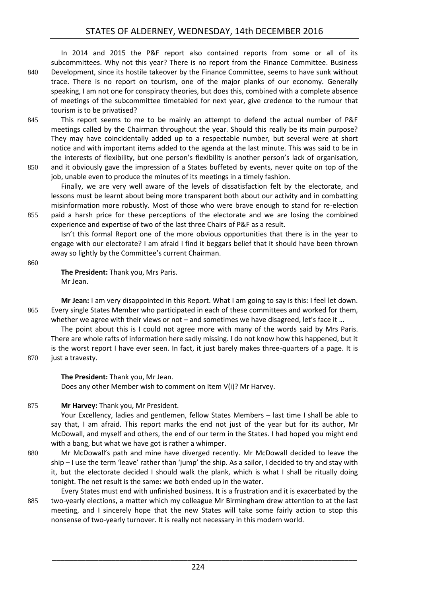In 2014 and 2015 the P&F report also contained reports from some or all of its subcommittees. Why not this year? There is no report from the Finance Committee. Business 840 Development, since its hostile takeover by the Finance Committee, seems to have sunk without trace. There is no report on tourism, one of the major planks of our economy. Generally speaking, I am not one for conspiracy theories, but does this, combined with a complete absence of meetings of the subcommittee timetabled for next year, give credence to the rumour that tourism is to be privatised?

- 845 This report seems to me to be mainly an attempt to defend the actual number of P&F meetings called by the Chairman throughout the year. Should this really be its main purpose? They may have coincidentally added up to a respectable number, but several were at short notice and with important items added to the agenda at the last minute. This was said to be in the interests of flexibility, but one person's flexibility is another person's lack of organisation,
- 850 and it obviously gave the impression of a States buffeted by events, never quite on top of the job, unable even to produce the minutes of its meetings in a timely fashion. Finally, we are very well aware of the levels of dissatisfaction felt by the electorate, and

lessons must be learnt about being more transparent both about our activity and in combatting misinformation more robustly. Most of those who were brave enough to stand for re-election 855 paid a harsh price for these perceptions of the electorate and we are losing the combined experience and expertise of two of the last three Chairs of P&F as a result.

Isn't this formal Report one of the more obvious opportunities that there is in the year to engage with our electorate? I am afraid I find it beggars belief that it should have been thrown away so lightly by the Committee's current Chairman.

860

**The President:** Thank you, Mrs Paris. Mr Jean.

**Mr Jean:** I am very disappointed in this Report. What I am going to say is this: I feel let down. 865 Every single States Member who participated in each of these committees and worked for them, whether we agree with their views or not – and sometimes we have disagreed, let's face it ...

The point about this is I could not agree more with many of the words said by Mrs Paris. There are whole rafts of information here sadly missing. I do not know how this happened, but it is the worst report I have ever seen. In fact, it just barely makes three-quarters of a page. It is

870 just a travesty.

#### **The President:** Thank you, Mr Jean.

Does any other Member wish to comment on Item V(i)? Mr Harvey.

#### 875 **Mr Harvey:** Thank you, Mr President.

Your Excellency, ladies and gentlemen, fellow States Members – last time I shall be able to say that, I am afraid. This report marks the end not just of the year but for its author, Mr McDowall, and myself and others, the end of our term in the States. I had hoped you might end with a bang, but what we have got is rather a whimper.

- 880 Mr McDowall's path and mine have diverged recently. Mr McDowall decided to leave the ship – I use the term 'leave' rather than 'jump' the ship. As a sailor, I decided to try and stay with it, but the electorate decided I should walk the plank, which is what I shall be ritually doing tonight. The net result is the same: we both ended up in the water.
- Every States must end with unfinished business. It is a frustration and it is exacerbated by the 885 two-yearly elections, a matter which my colleague Mr Birmingham drew attention to at the last meeting, and I sincerely hope that the new States will take some fairly action to stop this nonsense of two-yearly turnover. It is really not necessary in this modern world.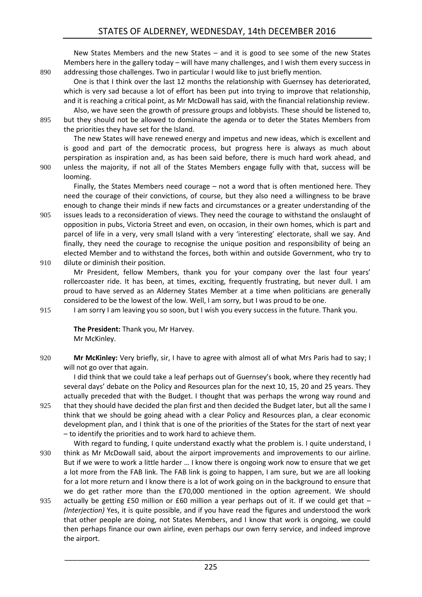New States Members and the new States – and it is good to see some of the new States Members here in the gallery today – will have many challenges, and I wish them every success in 890 addressing those challenges. Two in particular I would like to just briefly mention.

One is that I think over the last 12 months the relationship with Guernsey has deteriorated, which is very sad because a lot of effort has been put into trying to improve that relationship, and it is reaching a critical point, as Mr McDowall has said, with the financial relationship review.

Also, we have seen the growth of pressure groups and lobbyists. These should be listened to, 895 but they should not be allowed to dominate the agenda or to deter the States Members from the priorities they have set for the Island.

The new States will have renewed energy and impetus and new ideas, which is excellent and is good and part of the democratic process, but progress here is always as much about perspiration as inspiration and, as has been said before, there is much hard work ahead, and 900 unless the majority, if not all of the States Members engage fully with that, success will be looming.

Finally, the States Members need courage – not a word that is often mentioned here. They need the courage of their convictions, of course, but they also need a willingness to be brave enough to change their minds if new facts and circumstances or a greater understanding of the

905 issues leads to a reconsideration of views. They need the courage to withstand the onslaught of opposition in pubs, Victoria Street and even, on occasion, in their own homes, which is part and parcel of life in a very, very small Island with a very 'interesting' electorate, shall we say. And finally, they need the courage to recognise the unique position and responsibility of being an elected Member and to withstand the forces, both within and outside Government, who try to 910 dilute or diminish their position.

Mr President, fellow Members, thank you for your company over the last four years' rollercoaster ride. It has been, at times, exciting, frequently frustrating, but never dull. I am proud to have served as an Alderney States Member at a time when politicians are generally considered to be the lowest of the low. Well, I am sorry, but I was proud to be one.

915 I am sorry I am leaving you so soon, but I wish you every success in the future. Thank you.

**The President:** Thank you, Mr Harvey. Mr McKinley.

920 **Mr McKinley:** Very briefly, sir, I have to agree with almost all of what Mrs Paris had to say; I will not go over that again.

I did think that we could take a leaf perhaps out of Guernsey's book, where they recently had several days' debate on the Policy and Resources plan for the next 10, 15, 20 and 25 years. They actually preceded that with the Budget. I thought that was perhaps the wrong way round and 925 that they should have decided the plan first and then decided the Budget later, but all the same I think that we should be going ahead with a clear Policy and Resources plan, a clear economic development plan, and I think that is one of the priorities of the States for the start of next year – to identify the priorities and to work hard to achieve them.

- With regard to funding, I quite understand exactly what the problem is. I quite understand, I 930 think as Mr McDowall said, about the airport improvements and improvements to our airline. But if we were to work a little harder … I know there is ongoing work now to ensure that we get a lot more from the FAB link. The FAB link is going to happen, I am sure, but we are all looking for a lot more return and I know there is a lot of work going on in the background to ensure that we do get rather more than the £70,000 mentioned in the option agreement. We should 935 actually be getting  $£50$  million or  $£60$  million a year perhaps out of it. If we could get that  $-$ *(Interjection)* Yes, it is quite possible, and if you have read the figures and understood the work
	- that other people are doing, not States Members, and I know that work is ongoing, we could then perhaps finance our own airline, even perhaps our own ferry service, and indeed improve the airport.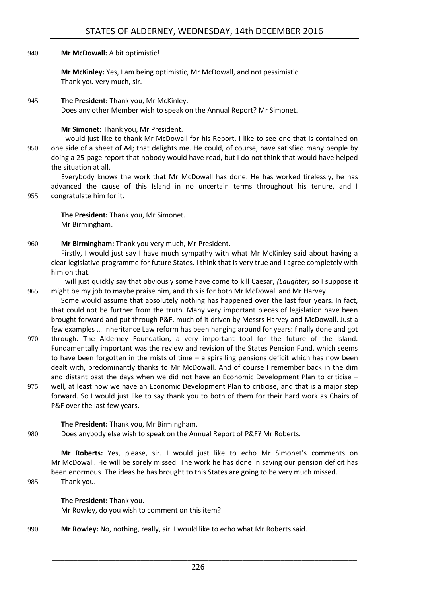940 **Mr McDowall:** A bit optimistic!

**Mr McKinley:** Yes, I am being optimistic, Mr McDowall, and not pessimistic. Thank you very much, sir.

945 **The President:** Thank you, Mr McKinley. Does any other Member wish to speak on the Annual Report? Mr Simonet.

#### **Mr Simonet:** Thank you, Mr President.

I would just like to thank Mr McDowall for his Report. I like to see one that is contained on 950 one side of a sheet of A4; that delights me. He could, of course, have satisfied many people by doing a 25-page report that nobody would have read, but I do not think that would have helped the situation at all.

Everybody knows the work that Mr McDowall has done. He has worked tirelessly, he has advanced the cause of this Island in no uncertain terms throughout his tenure, and I 955 congratulate him for it.

**The President:** Thank you, Mr Simonet. Mr Birmingham.

960 **Mr Birmingham:** Thank you very much, Mr President.

Firstly, I would just say I have much sympathy with what Mr McKinley said about having a clear legislative programme for future States. I think that is very true and I agree completely with him on that.

I will just quickly say that obviously some have come to kill Caesar, *(Laughter)* so I suppose it 965 might be my job to maybe praise him, and this is for both Mr McDowall and Mr Harvey.

Some would assume that absolutely nothing has happened over the last four years. In fact, that could not be further from the truth. Many very important pieces of legislation have been brought forward and put through P&F, much of it driven by Messrs Harvey and McDowall. Just a few examples … Inheritance Law reform has been hanging around for years: finally done and got

- 970 through. The Alderney Foundation, a very important tool for the future of the Island. Fundamentally important was the review and revision of the States Pension Fund, which seems to have been forgotten in the mists of time – a spiralling pensions deficit which has now been dealt with, predominantly thanks to Mr McDowall. And of course I remember back in the dim and distant past the days when we did not have an Economic Development Plan to criticise –
- 975 well, at least now we have an Economic Development Plan to criticise, and that is a major step forward. So I would just like to say thank you to both of them for their hard work as Chairs of P&F over the last few years.

#### **The President:** Thank you, Mr Birmingham.

980 Does anybody else wish to speak on the Annual Report of P&F? Mr Roberts.

**Mr Roberts:** Yes, please, sir. I would just like to echo Mr Simonet's comments on Mr McDowall. He will be sorely missed. The work he has done in saving our pension deficit has been enormous. The ideas he has brought to this States are going to be very much missed. 985 Thank you.

#### **The President:** Thank you.

Mr Rowley, do you wish to comment on this item?

990 **Mr Rowley:** No, nothing, really, sir. I would like to echo what Mr Roberts said.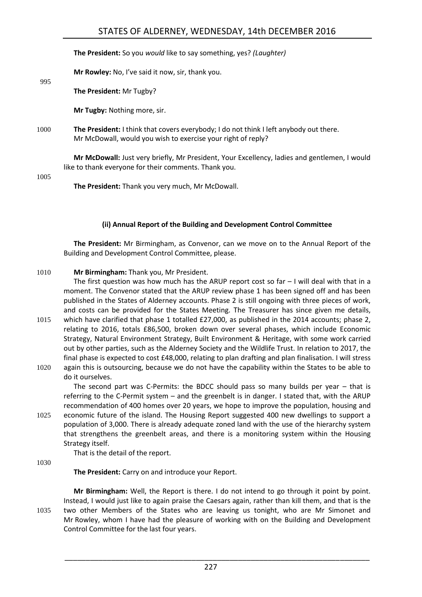**The President:** So you *would* like to say something, yes? *(Laughter)*

**Mr Rowley:** No, I've said it now, sir, thank you.

**The President:** Mr Tugby?

**Mr Tugby:** Nothing more, sir.

1000 **The President:** I think that covers everybody; I do not think I left anybody out there. Mr McDowall, would you wish to exercise your right of reply?

**Mr McDowall:** Just very briefly, Mr President, Your Excellency, ladies and gentlemen, I would like to thank everyone for their comments. Thank you.

1005

995

**The President:** Thank you very much, Mr McDowall.

#### **(ii) Annual Report of the Building and Development Control Committee**

<span id="page-24-0"></span>**The President:** Mr Birmingham, as Convenor, can we move on to the Annual Report of the Building and Development Control Committee, please.

#### 1010 **Mr Birmingham:** Thank you, Mr President.

The first question was how much has the ARUP report cost so far  $-1$  will deal with that in a moment. The Convenor stated that the ARUP review phase 1 has been signed off and has been published in the States of Alderney accounts. Phase 2 is still ongoing with three pieces of work, and costs can be provided for the States Meeting. The Treasurer has since given me details,

- 1015 which have clarified that phase 1 totalled £27,000, as published in the 2014 accounts; phase 2, relating to 2016, totals £86,500, broken down over several phases, which include Economic Strategy, Natural Environment Strategy, Built Environment & Heritage, with some work carried out by other parties, such as the Alderney Society and the Wildlife Trust. In relation to 2017, the final phase is expected to cost £48,000, relating to plan drafting and plan finalisation. I will stress
- 1020 again this is outsourcing, because we do not have the capability within the States to be able to do it ourselves.

The second part was C-Permits: the BDCC should pass so many builds per year – that is referring to the C-Permit system – and the greenbelt is in danger. I stated that, with the ARUP recommendation of 400 homes over 20 years, we hope to improve the population, housing and 1025 economic future of the island. The Housing Report suggested 400 new dwellings to support a

population of 3,000. There is already adequate zoned land with the use of the hierarchy system that strengthens the greenbelt areas, and there is a monitoring system within the Housing Strategy itself.

That is the detail of the report.

1030

**The President:** Carry on and introduce your Report.

**Mr Birmingham:** Well, the Report is there. I do not intend to go through it point by point. Instead, I would just like to again praise the Caesars again, rather than kill them, and that is the 1035 two other Members of the States who are leaving us tonight, who are Mr Simonet and Mr Rowley, whom I have had the pleasure of working with on the Building and Development Control Committee for the last four years.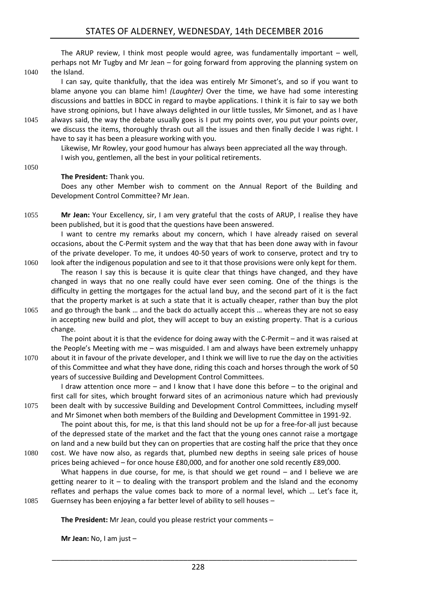The ARUP review, I think most people would agree, was fundamentally important – well, perhaps not Mr Tugby and Mr Jean – for going forward from approving the planning system on 1040 the Island.

- I can say, quite thankfully, that the idea was entirely Mr Simonet's, and so if you want to blame anyone you can blame him! *(Laughter)* Over the time, we have had some interesting discussions and battles in BDCC in regard to maybe applications. I think it is fair to say we both have strong opinions, but I have always delighted in our little tussles, Mr Simonet, and as I have
- 1045 always said, the way the debate usually goes is I put my points over, you put your points over, we discuss the items, thoroughly thrash out all the issues and then finally decide I was right. I have to say it has been a pleasure working with you.

Likewise, Mr Rowley, your good humour has always been appreciated all the way through. I wish you, gentlemen, all the best in your political retirements.

#### **The President:** Thank you.

1050

Does any other Member wish to comment on the Annual Report of the Building and Development Control Committee? Mr Jean.

1055 **Mr Jean:** Your Excellency, sir, I am very grateful that the costs of ARUP, I realise they have been published, but it is good that the questions have been answered.

I want to centre my remarks about my concern, which I have already raised on several occasions, about the C-Permit system and the way that that has been done away with in favour of the private developer. To me, it undoes 40-50 years of work to conserve, protect and try to 1060 look after the indigenous population and see to it that those provisions were only kept for them.

The reason I say this is because it is quite clear that things have changed, and they have changed in ways that no one really could have ever seen coming. One of the things is the difficulty in getting the mortgages for the actual land buy, and the second part of it is the fact that the property market is at such a state that it is actually cheaper, rather than buy the plot 1065 and go through the bank … and the back do actually accept this … whereas they are not so easy in accepting new build and plot, they will accept to buy an existing property. That is a curious change.

The point about it is that the evidence for doing away with the C-Permit – and it was raised at the People's Meeting with me – was misguided. I am and always have been extremely unhappy 1070 about it in favour of the private developer, and I think we will live to rue the day on the activities of this Committee and what they have done, riding this coach and horses through the work of 50 years of successive Building and Development Control Committees.

I draw attention once more – and I know that I have done this before – to the original and first call for sites, which brought forward sites of an acrimonious nature which had previously 1075 been dealt with by successive Building and Development Control Committees, including myself and Mr Simonet when both members of the Building and Development Committee in 1991-92.

The point about this, for me, is that this land should not be up for a free-for-all just because of the depressed state of the market and the fact that the young ones cannot raise a mortgage on land and a new build but they can on properties that are costing half the price that they once 1080 cost. We have now also, as regards that, plumbed new depths in seeing sale prices of house prices being achieved – for once house £80,000, and for another one sold recently £89,000.

What happens in due course, for me, is that should we get round – and I believe we are getting nearer to it  $-$  to dealing with the transport problem and the Island and the economy reflates and perhaps the value comes back to more of a normal level, which … Let's face it, 1085 Guernsey has been enjoying a far better level of ability to sell houses –

**The President:** Mr Jean, could you please restrict your comments –

**Mr Jean:** No, I am just –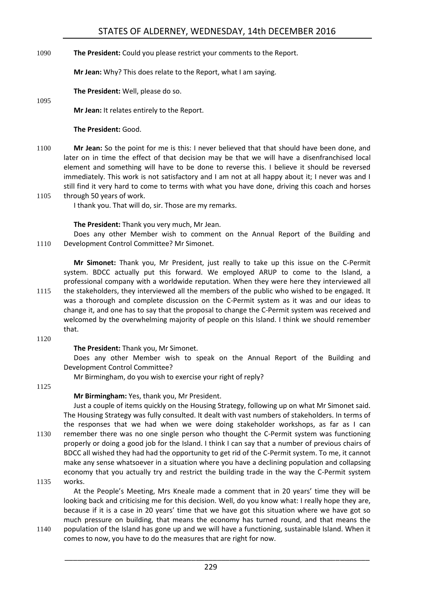#### 1090 **The President:** Could you please restrict your comments to the Report.

**Mr Jean:** Why? This does relate to the Report, what I am saying.

**The President:** Well, please do so.

1095

**Mr Jean:** It relates entirely to the Report.

#### **The President:** Good.

- 1100 **Mr Jean:** So the point for me is this: I never believed that that should have been done, and later on in time the effect of that decision may be that we will have a disenfranchised local element and something will have to be done to reverse this. I believe it should be reversed immediately. This work is not satisfactory and I am not at all happy about it; I never was and I still find it very hard to come to terms with what you have done, driving this coach and horses
- 1105 through 50 years of work. I thank you. That will do, sir. Those are my remarks.

#### **The President:** Thank you very much, Mr Jean.

Does any other Member wish to comment on the Annual Report of the Building and 1110 Development Control Committee? Mr Simonet.

**Mr Simonet:** Thank you, Mr President, just really to take up this issue on the C-Permit system. BDCC actually put this forward. We employed ARUP to come to the Island, a professional company with a worldwide reputation. When they were here they interviewed all 1115 the stakeholders, they interviewed all the members of the public who wished to be engaged. It was a thorough and complete discussion on the C-Permit system as it was and our ideas to change it, and one has to say that the proposal to change the C-Permit system was received and welcomed by the overwhelming majority of people on this Island. I think we should remember

1120

that.

#### **The President:** Thank you, Mr Simonet.

Does any other Member wish to speak on the Annual Report of the Building and Development Control Committee?

Mr Birmingham, do you wish to exercise your right of reply?

1125

#### **Mr Birmingham:** Yes, thank you, Mr President.

Just a couple of items quickly on the Housing Strategy, following up on what Mr Simonet said. The Housing Strategy was fully consulted. It dealt with vast numbers of stakeholders. In terms of the responses that we had when we were doing stakeholder workshops, as far as I can 1130 remember there was no one single person who thought the C-Permit system was functioning properly or doing a good job for the Island. I think I can say that a number of previous chairs of BDCC all wished they had had the opportunity to get rid of the C-Permit system. To me, it cannot make any sense whatsoever in a situation where you have a declining population and collapsing economy that you actually try and restrict the building trade in the way the C-Permit system 1135 works.

At the People's Meeting, Mrs Kneale made a comment that in 20 years' time they will be looking back and criticising me for this decision. Well, do you know what: I really hope they are, because if it is a case in 20 years' time that we have got this situation where we have got so much pressure on building, that means the economy has turned round, and that means the

1140 population of the Island has gone up and we will have a functioning, sustainable Island. When it comes to now, you have to do the measures that are right for now.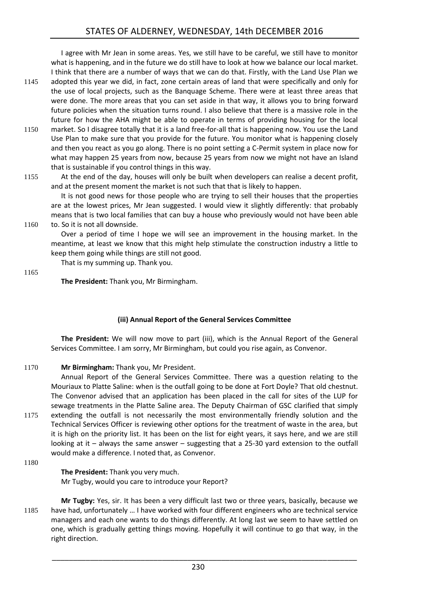I agree with Mr Jean in some areas. Yes, we still have to be careful, we still have to monitor what is happening, and in the future we do still have to look at how we balance our local market. I think that there are a number of ways that we can do that. Firstly, with the Land Use Plan we

- 1145 adopted this year we did, in fact, zone certain areas of land that were specifically and only for the use of local projects, such as the Banquage Scheme. There were at least three areas that were done. The more areas that you can set aside in that way, it allows you to bring forward future policies when the situation turns round. I also believe that there is a massive role in the future for how the AHA might be able to operate in terms of providing housing for the local
- 1150 market. So I disagree totally that it is a land free-for-all that is happening now. You use the Land Use Plan to make sure that you provide for the future. You monitor what is happening closely and then you react as you go along. There is no point setting a C-Permit system in place now for what may happen 25 years from now, because 25 years from now we might not have an Island that is sustainable if you control things in this way.
- 1155 At the end of the day, houses will only be built when developers can realise a decent profit, and at the present moment the market is not such that that is likely to happen.

It is not good news for those people who are trying to sell their houses that the properties are at the lowest prices, Mr Jean suggested. I would view it slightly differently: that probably means that is two local families that can buy a house who previously would not have been able 1160 to. So it is not all downside.

Over a period of time I hope we will see an improvement in the housing market. In the meantime, at least we know that this might help stimulate the construction industry a little to keep them going while things are still not good.

That is my summing up. Thank you.

1165

**The President:** Thank you, Mr Birmingham.

#### **(iii) Annual Report of the General Services Committee**

<span id="page-27-0"></span>**The President:** We will now move to part (iii), which is the Annual Report of the General Services Committee. I am sorry, Mr Birmingham, but could you rise again, as Convenor.

#### 1170 **Mr Birmingham:** Thank you, Mr President.

Annual Report of the General Services Committee. There was a question relating to the Mouriaux to Platte Saline: when is the outfall going to be done at Fort Doyle? That old chestnut. The Convenor advised that an application has been placed in the call for sites of the LUP for sewage treatments in the Platte Saline area. The Deputy Chairman of GSC clarified that simply 1175 extending the outfall is not necessarily the most environmentally friendly solution and the Technical Services Officer is reviewing other options for the treatment of waste in the area, but it is high on the priority list. It has been on the list for eight years, it says here, and we are still looking at it – always the same answer – suggesting that a 25-30 yard extension to the outfall would make a difference. I noted that, as Convenor.

1180

#### **The President:** Thank you very much.

Mr Tugby, would you care to introduce your Report?

**Mr Tugby:** Yes, sir. It has been a very difficult last two or three years, basically, because we 1185 have had, unfortunately … I have worked with four different engineers who are technical service managers and each one wants to do things differently. At long last we seem to have settled on one, which is gradually getting things moving. Hopefully it will continue to go that way, in the right direction.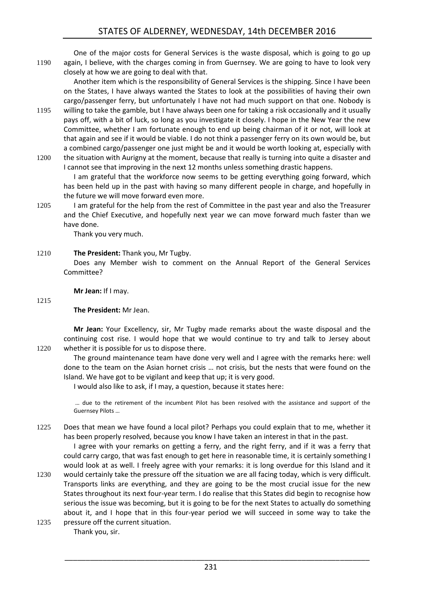One of the major costs for General Services is the waste disposal, which is going to go up 1190 again, I believe, with the charges coming in from Guernsey. We are going to have to look very closely at how we are going to deal with that.

Another item which is the responsibility of General Services is the shipping. Since I have been on the States, I have always wanted the States to look at the possibilities of having their own cargo/passenger ferry, but unfortunately I have not had much support on that one. Nobody is

- 1195 willing to take the gamble, but I have always been one for taking a risk occasionally and it usually pays off, with a bit of luck, so long as you investigate it closely. I hope in the New Year the new Committee, whether I am fortunate enough to end up being chairman of it or not, will look at that again and see if it would be viable. I do not think a passenger ferry on its own would be, but a combined cargo/passenger one just might be and it would be worth looking at, especially with
- 1200 the situation with Aurigny at the moment, because that really is turning into quite a disaster and I cannot see that improving in the next 12 months unless something drastic happens.

I am grateful that the workforce now seems to be getting everything going forward, which has been held up in the past with having so many different people in charge, and hopefully in the future we will move forward even more.

1205 I am grateful for the help from the rest of Committee in the past year and also the Treasurer and the Chief Executive, and hopefully next year we can move forward much faster than we have done.

Thank you very much.

#### 1210 **The President:** Thank you, Mr Tugby.

Does any Member wish to comment on the Annual Report of the General Services Committee?

**Mr Jean:** If I may.

1215

#### **The President:** Mr Jean.

**Mr Jean:** Your Excellency, sir, Mr Tugby made remarks about the waste disposal and the continuing cost rise. I would hope that we would continue to try and talk to Jersey about 1220 whether it is possible for us to dispose there.

The ground maintenance team have done very well and I agree with the remarks here: well done to the team on the Asian hornet crisis … not crisis, but the nests that were found on the Island. We have got to be vigilant and keep that up; it is very good.

I would also like to ask, if I may, a question, because it states here:

… due to the retirement of the incumbent Pilot has been resolved with the assistance and support of the Guernsey Pilots …

1225 Does that mean we have found a local pilot? Perhaps you could explain that to me, whether it has been properly resolved, because you know I have taken an interest in that in the past.

I agree with your remarks on getting a ferry, and the right ferry, and if it was a ferry that could carry cargo, that was fast enough to get here in reasonable time, it is certainly something I would look at as well. I freely agree with your remarks: it is long overdue for this Island and it

- 1230 would certainly take the pressure off the situation we are all facing today, which is very difficult. Transports links are everything, and they are going to be the most crucial issue for the new States throughout its next four-year term. I do realise that this States did begin to recognise how serious the issue was becoming, but it is going to be for the next States to actually do something about it, and I hope that in this four-year period we will succeed in some way to take the
- 1235 pressure off the current situation. Thank you, sir.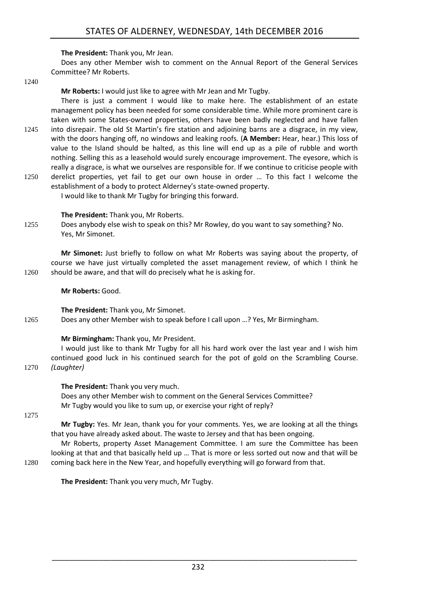#### **The President:** Thank you, Mr Jean.

Does any other Member wish to comment on the Annual Report of the General Services Committee? Mr Roberts.

1240

**Mr Roberts:** I would just like to agree with Mr Jean and Mr Tugby.

There is just a comment I would like to make here. The establishment of an estate management policy has been needed for some considerable time. While more prominent care is taken with some States-owned properties, others have been badly neglected and have fallen 1245 into disrepair. The old St Martin's fire station and adjoining barns are a disgrace, in my view, with the doors hanging off, no windows and leaking roofs. (**A Member:** Hear, hear.) This loss of value to the Island should be halted, as this line will end up as a pile of rubble and worth nothing. Selling this as a leasehold would surely encourage improvement. The eyesore, which is really a disgrace, is what we ourselves are responsible for. If we continue to criticise people with 1250 derelict properties, yet fail to get our own house in order … To this fact I welcome the

establishment of a body to protect Alderney's state-owned property. I would like to thank Mr Tugby for bringing this forward.

#### **The President:** Thank you, Mr Roberts.

1255 Does anybody else wish to speak on this? Mr Rowley, do you want to say something? No. Yes, Mr Simonet.

**Mr Simonet:** Just briefly to follow on what Mr Roberts was saying about the property, of course we have just virtually completed the asset management review, of which I think he 1260 should be aware, and that will do precisely what he is asking for.

**Mr Roberts:** Good.

**The President:** Thank you, Mr Simonet.

1265 Does any other Member wish to speak before I call upon …? Yes, Mr Birmingham.

#### **Mr Birmingham:** Thank you, Mr President.

I would just like to thank Mr Tugby for all his hard work over the last year and I wish him continued good luck in his continued search for the pot of gold on the Scrambling Course. 1270 *(Laughter)*

> **The President:** Thank you very much. Does any other Member wish to comment on the General Services Committee? Mr Tugby would you like to sum up, or exercise your right of reply?

1275

**Mr Tugby:** Yes. Mr Jean, thank you for your comments. Yes, we are looking at all the things that you have already asked about. The waste to Jersey and that has been ongoing.

Mr Roberts, property Asset Management Committee. I am sure the Committee has been looking at that and that basically held up … That is more or less sorted out now and that will be 1280 coming back here in the New Year, and hopefully everything will go forward from that.

**The President:** Thank you very much, Mr Tugby.